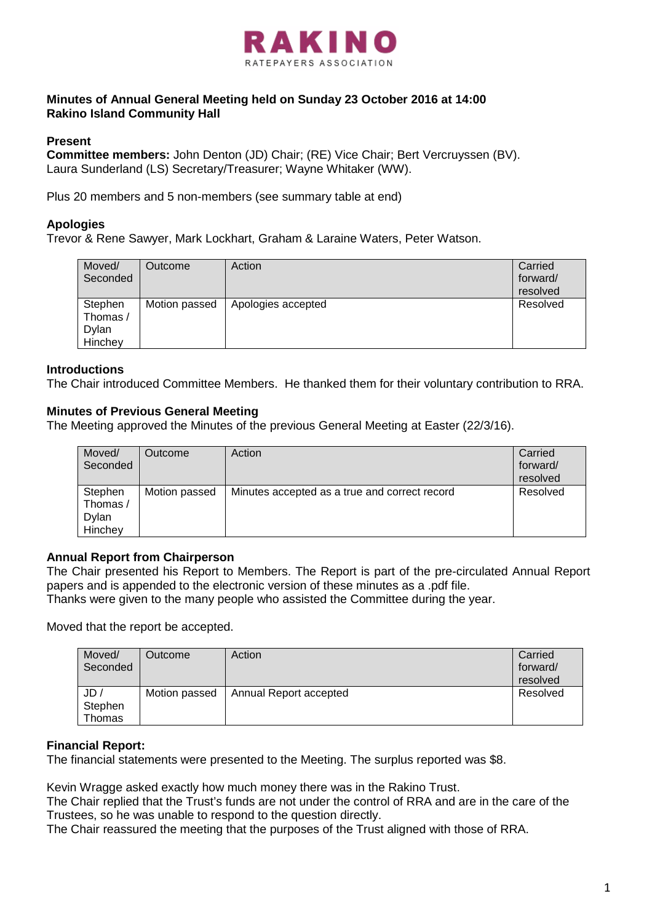

# **Minutes of Annual General Meeting held on Sunday 23 October 2016 at 14:00 Rakino Island Community Hall**

# **Present**

**Committee members:** John Denton (JD) Chair; (RE) Vice Chair; Bert Vercruyssen (BV). Laura Sunderland (LS) Secretary/Treasurer; Wayne Whitaker (WW).

Plus 20 members and 5 non-members (see summary table at end)

# **Apologies**

Trevor & Rene Sawyer, Mark Lockhart, Graham & Laraine Waters, Peter Watson.

| Moved/<br>Seconded                      | Outcome       | Action             | Carried<br>forward/<br>resolved |
|-----------------------------------------|---------------|--------------------|---------------------------------|
| Stephen<br>Thomas /<br>Dylan<br>Hinchey | Motion passed | Apologies accepted | Resolved                        |

## **Introductions**

The Chair introduced Committee Members. He thanked them for their voluntary contribution to RRA.

# **Minutes of Previous General Meeting**

The Meeting approved the Minutes of the previous General Meeting at Easter (22/3/16).

| Moved/<br>Seconded           | Outcome       | Action                                        | Carried<br>forward/<br>resolved |
|------------------------------|---------------|-----------------------------------------------|---------------------------------|
| Stephen<br>Thomas /<br>Dylan | Motion passed | Minutes accepted as a true and correct record | Resolved                        |
| Hinchey                      |               |                                               |                                 |

# **Annual Report from Chairperson**

The Chair presented his Report to Members. The Report is part of the pre-circulated Annual Report papers and is appended to the electronic version of these minutes as a .pdf file. Thanks were given to the many people who assisted the Committee during the year.

Moved that the report be accepted.

| Moved/<br>Seconded       | Outcome       | Action                 | Carried<br>forward/<br>resolved |
|--------------------------|---------------|------------------------|---------------------------------|
| JD/<br>Stephen<br>Thomas | Motion passed | Annual Report accepted | Resolved                        |

# **Financial Report:**

The financial statements were presented to the Meeting. The surplus reported was \$8.

Kevin Wragge asked exactly how much money there was in the Rakino Trust.

The Chair replied that the Trust's funds are not under the control of RRA and are in the care of the Trustees, so he was unable to respond to the question directly.

The Chair reassured the meeting that the purposes of the Trust aligned with those of RRA.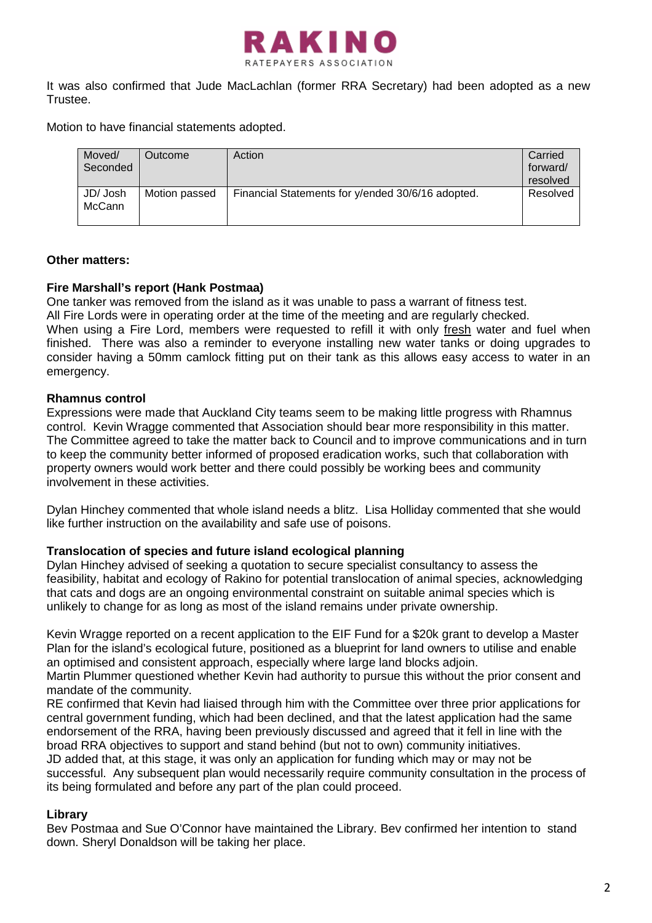

It was also confirmed that Jude MacLachlan (former RRA Secretary) had been adopted as a new Trustee.

Motion to have financial statements adopted.

| Moved/<br>Seconded        | Outcome       | Action                                            | Carried<br>forward/<br>resolved |
|---------------------------|---------------|---------------------------------------------------|---------------------------------|
| JD/ Josh<br><b>McCann</b> | Motion passed | Financial Statements for y/ended 30/6/16 adopted. | Resolved                        |

# **Other matters:**

# **Fire Marshall's report (Hank Postmaa)**

One tanker was removed from the island as it was unable to pass a warrant of fitness test.

All Fire Lords were in operating order at the time of the meeting and are regularly checked.

When using a Fire Lord, members were requested to refill it with only fresh water and fuel when finished. There was also a reminder to everyone installing new water tanks or doing upgrades to consider having a 50mm camlock fitting put on their tank as this allows easy access to water in an emergency.

# **Rhamnus control**

Expressions were made that Auckland City teams seem to be making little progress with Rhamnus control. Kevin Wragge commented that Association should bear more responsibility in this matter. The Committee agreed to take the matter back to Council and to improve communications and in turn to keep the community better informed of proposed eradication works, such that collaboration with property owners would work better and there could possibly be working bees and community involvement in these activities.

Dylan Hinchey commented that whole island needs a blitz. Lisa Holliday commented that she would like further instruction on the availability and safe use of poisons.

# **Translocation of species and future island ecological planning**

Dylan Hinchey advised of seeking a quotation to secure specialist consultancy to assess the feasibility, habitat and ecology of Rakino for potential translocation of animal species, acknowledging that cats and dogs are an ongoing environmental constraint on suitable animal species which is unlikely to change for as long as most of the island remains under private ownership.

Kevin Wragge reported on a recent application to the EIF Fund for a \$20k grant to develop a Master Plan for the island's ecological future, positioned as a blueprint for land owners to utilise and enable an optimised and consistent approach, especially where large land blocks adjoin.

Martin Plummer questioned whether Kevin had authority to pursue this without the prior consent and mandate of the community.

RE confirmed that Kevin had liaised through him with the Committee over three prior applications for central government funding, which had been declined, and that the latest application had the same endorsement of the RRA, having been previously discussed and agreed that it fell in line with the broad RRA objectives to support and stand behind (but not to own) community initiatives. JD added that, at this stage, it was only an application for funding which may or may not be successful. Any subsequent plan would necessarily require community consultation in the process of its being formulated and before any part of the plan could proceed.

# **Library**

Bev Postmaa and Sue O'Connor have maintained the Library. Bev confirmed her intention to stand down. Sheryl Donaldson will be taking her place.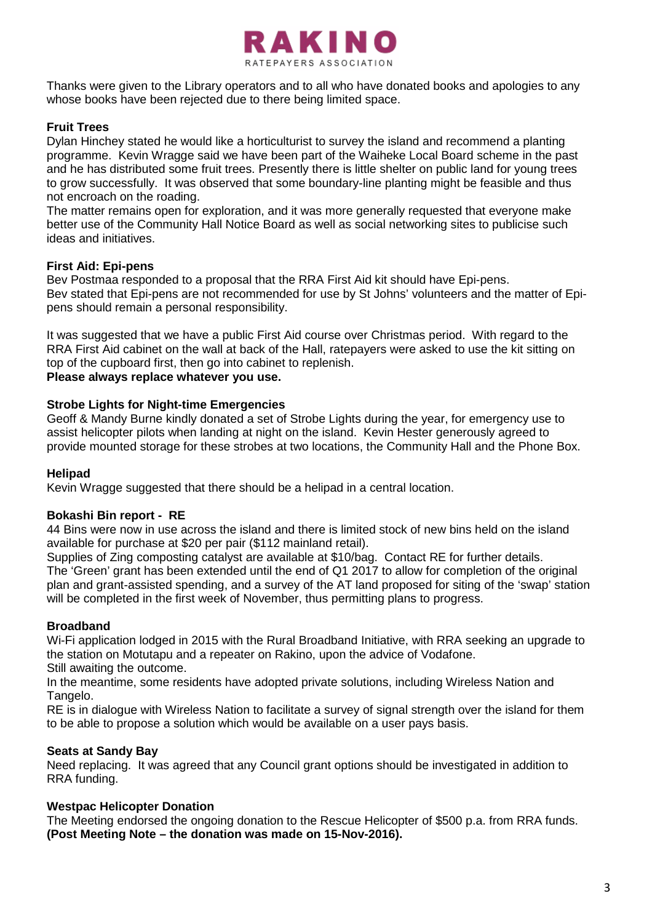

Thanks were given to the Library operators and to all who have donated books and apologies to any whose books have been rejected due to there being limited space.

# **Fruit Trees**

Dylan Hinchey stated he would like a horticulturist to survey the island and recommend a planting programme. Kevin Wragge said we have been part of the Waiheke Local Board scheme in the past and he has distributed some fruit trees. Presently there is little shelter on public land for young trees to grow successfully. It was observed that some boundary-line planting might be feasible and thus not encroach on the roading.

The matter remains open for exploration, and it was more generally requested that everyone make better use of the Community Hall Notice Board as well as social networking sites to publicise such ideas and initiatives.

## **First Aid: Epi-pens**

Bev Postmaa responded to a proposal that the RRA First Aid kit should have Epi-pens. Bev stated that Epi-pens are not recommended for use by St Johns' volunteers and the matter of Epipens should remain a personal responsibility.

It was suggested that we have a public First Aid course over Christmas period. With regard to the RRA First Aid cabinet on the wall at back of the Hall, ratepayers were asked to use the kit sitting on top of the cupboard first, then go into cabinet to replenish.

# **Please always replace whatever you use.**

## **Strobe Lights for Night-time Emergencies**

Geoff & Mandy Burne kindly donated a set of Strobe Lights during the year, for emergency use to assist helicopter pilots when landing at night on the island. Kevin Hester generously agreed to provide mounted storage for these strobes at two locations, the Community Hall and the Phone Box.

#### **Helipad**

Kevin Wragge suggested that there should be a helipad in a central location.

#### **Bokashi Bin report - RE**

44 Bins were now in use across the island and there is limited stock of new bins held on the island available for purchase at \$20 per pair (\$112 mainland retail).

Supplies of Zing composting catalyst are available at \$10/bag. Contact RE for further details. The 'Green' grant has been extended until the end of Q1 2017 to allow for completion of the original plan and grant-assisted spending, and a survey of the AT land proposed for siting of the 'swap' station will be completed in the first week of November, thus permitting plans to progress.

#### **Broadband**

Wi-Fi application lodged in 2015 with the Rural Broadband Initiative, with RRA seeking an upgrade to the station on Motutapu and a repeater on Rakino, upon the advice of Vodafone. Still awaiting the outcome.

In the meantime, some residents have adopted private solutions, including Wireless Nation and Tangelo.

RE is in dialogue with Wireless Nation to facilitate a survey of signal strength over the island for them to be able to propose a solution which would be available on a user pays basis.

# **Seats at Sandy Bay**

Need replacing. It was agreed that any Council grant options should be investigated in addition to RRA funding.

#### **Westpac Helicopter Donation**

The Meeting endorsed the ongoing donation to the Rescue Helicopter of \$500 p.a. from RRA funds. **(Post Meeting Note – the donation was made on 15-Nov-2016).**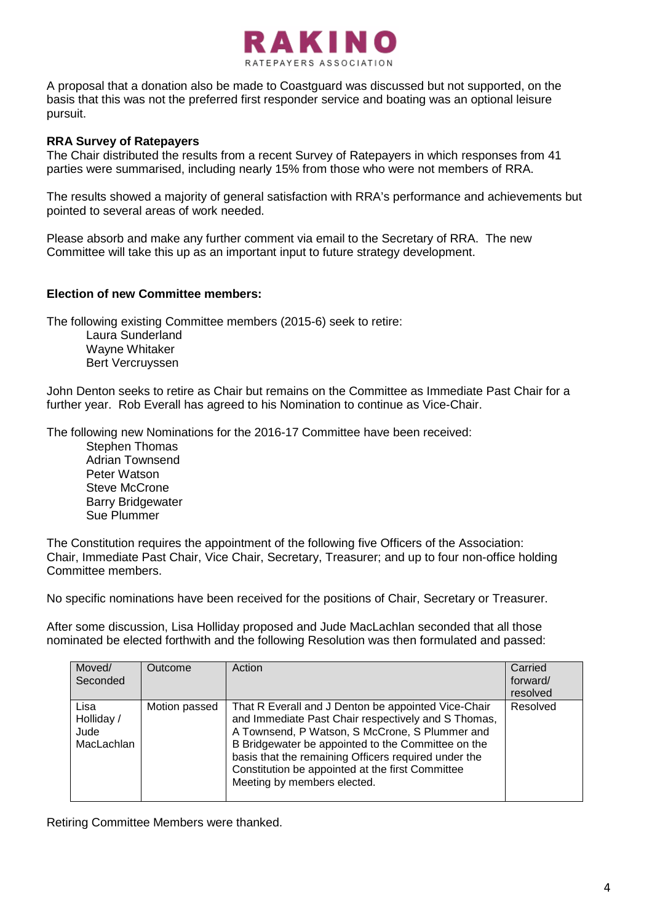

A proposal that a donation also be made to Coastguard was discussed but not supported, on the basis that this was not the preferred first responder service and boating was an optional leisure pursuit.

## **RRA Survey of Ratepayers**

The Chair distributed the results from a recent Survey of Ratepayers in which responses from 41 parties were summarised, including nearly 15% from those who were not members of RRA.

The results showed a majority of general satisfaction with RRA's performance and achievements but pointed to several areas of work needed.

Please absorb and make any further comment via email to the Secretary of RRA. The new Committee will take this up as an important input to future strategy development.

#### **Election of new Committee members:**

The following existing Committee members (2015-6) seek to retire:

Laura Sunderland Wayne Whitaker Bert Vercruyssen

John Denton seeks to retire as Chair but remains on the Committee as Immediate Past Chair for a further year. Rob Everall has agreed to his Nomination to continue as Vice-Chair.

The following new Nominations for the 2016-17 Committee have been received:

Stephen Thomas Adrian Townsend Peter Watson Steve McCrone Barry Bridgewater Sue Plummer

The Constitution requires the appointment of the following five Officers of the Association: Chair, Immediate Past Chair, Vice Chair, Secretary, Treasurer; and up to four non-office holding Committee members.

No specific nominations have been received for the positions of Chair, Secretary or Treasurer.

After some discussion, Lisa Holliday proposed and Jude MacLachlan seconded that all those nominated be elected forthwith and the following Resolution was then formulated and passed:

| Moved/<br>Seconded                       | Outcome       | Action                                                                                                                                                                                                                                                                                                                                                        | Carried<br>forward/<br>resolved |
|------------------------------------------|---------------|---------------------------------------------------------------------------------------------------------------------------------------------------------------------------------------------------------------------------------------------------------------------------------------------------------------------------------------------------------------|---------------------------------|
| Lisa<br>Holliday /<br>Jude<br>MacLachlan | Motion passed | That R Everall and J Denton be appointed Vice-Chair<br>and Immediate Past Chair respectively and S Thomas,<br>A Townsend, P Watson, S McCrone, S Plummer and<br>B Bridgewater be appointed to the Committee on the<br>basis that the remaining Officers required under the<br>Constitution be appointed at the first Committee<br>Meeting by members elected. | Resolved                        |

Retiring Committee Members were thanked.